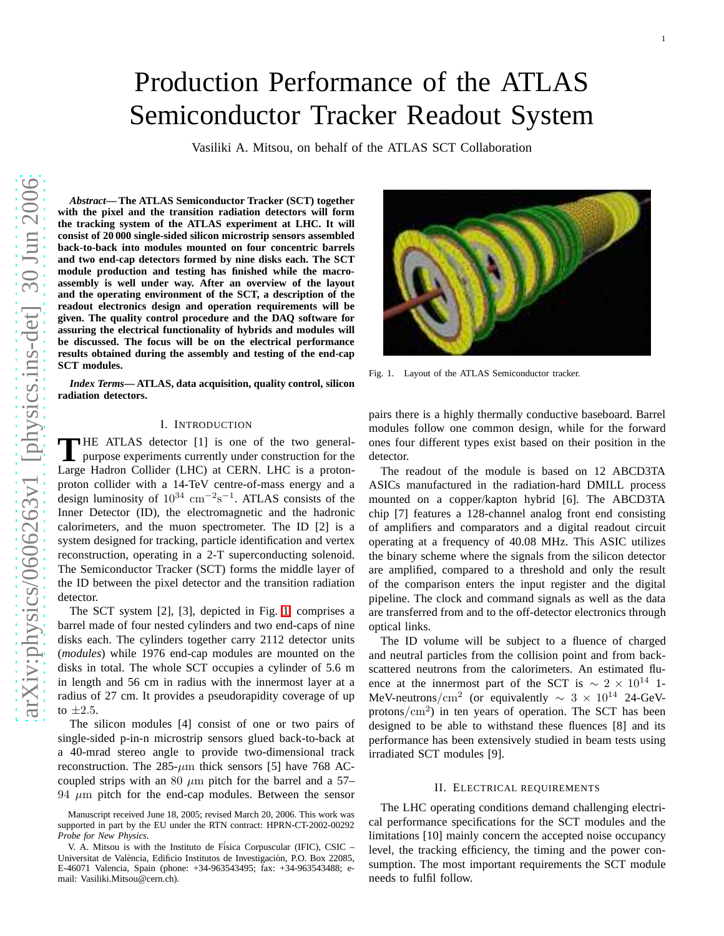# Production Performance of the ATLAS Semiconductor Tracker Readout System

Vasiliki A. Mitsou, on behalf of the ATLAS SCT Collaboration

*Abstract***— The ATLAS Semiconductor Tracker (SCT) together with the pixel and the transition radiation detectors will form the tracking system of the ATLAS experiment at LHC. It will consist of 20 000 single-sided silicon microstrip sensors assembled back-to-back into modules mounted on four concentric barrels and two end-cap detectors formed by nine disks each. The SCT module production and testing has finished while the macroassembly is well under way. After an overview of the layout and the operating environment of the SCT, a description of the readout electronics design and operation requirements will be given. The quality control procedure and the DAQ software for assuring the electrical functionality of hybrids and modules will be discussed. The focus will be on the electrical performance results obtained during the assembly and testing of the end-cap SCT modules.**

*Index Terms***— ATLAS, data acquisition, quality control, silicon radiation detectors.**

# I. INTRODUCTION

THE ATLAS detector [1] is one of the two general-<br>purpose experiments currently under construction for the purpose experiments currently under construction for the Large Hadron Collider (LHC) at CERN. LHC is a protonproton collider with a 14-TeV centre-of-mass energy and a design luminosity of  $10^{34}$  cm<sup>-2</sup>s<sup>-1</sup>. ATLAS consists of the Inner Detector (ID), the electromagnetic and the hadronic calorimeters, and the muon spectrometer. The ID [2] is a system designed for tracking, particle identification and vertex reconstruction, operating in a 2-T superconducting solenoid. The Semiconductor Tracker (SCT) forms the middle layer of the ID between the pixel detector and the transition radiation detector.

The SCT system [2], [3], depicted in Fig. [1,](#page-0-0) comprises a barrel made of four nested cylinders and two end-caps of nine disks each. The cylinders together carry 2112 detector units (*modules*) while 1976 end-cap modules are mounted on the disks in total. The whole SCT occupies a cylinder of 5.6 m in length and 56 cm in radius with the innermost layer at a radius of 27 cm. It provides a pseudorapidity coverage of up to  $\pm 2.5$ .

The silicon modules [4] consist of one or two pairs of single-sided p-in-n microstrip sensors glued back-to-back at a 40-mrad stereo angle to provide two-dimensional track reconstruction. The  $285-\mu m$  thick sensors [5] have 768 ACcoupled strips with an 80  $\mu$ m pitch for the barrel and a 57– 94  $\mu$ m pitch for the end-cap modules. Between the sensor



Fig. 1. Layout of the ATLAS Semiconductor tracker.

<span id="page-0-0"></span>pairs there is a highly thermally conductive baseboard. Barrel modules follow one common design, while for the forward ones four different types exist based on their position in the detector.

The readout of the module is based on 12 ABCD3TA ASICs manufactured in the radiation-hard DMILL process mounted on a copper/kapton hybrid [6]. The ABCD3TA chip [7] features a 128-channel analog front end consisting of amplifiers and comparators and a digital readout circuit operating at a frequency of 40.08 MHz. This ASIC utilizes the binary scheme where the signals from the silicon detector are amplified, compared to a threshold and only the result of the comparison enters the input register and the digital pipeline. The clock and command signals as well as the data are transferred from and to the off-detector electronics through optical links.

The ID volume will be subject to a fluence of charged and neutral particles from the collision point and from backscattered neutrons from the calorimeters. An estimated fluence at the innermost part of the SCT is  $\sim 2 \times 10^{14}$  1-MeV-neutrons/cm<sup>2</sup> (or equivalently  $\sim 3 \times 10^{14}$  24-GeVprotons/cm<sup>2</sup> ) in ten years of operation. The SCT has been designed to be able to withstand these fluences [8] and its performance has been extensively studied in beam tests using irradiated SCT modules [9].

## II. ELECTRICAL REQUIREMENTS

The LHC operating conditions demand challenging electrical performance specifications for the SCT modules and the limitations [10] mainly concern the accepted noise occupancy level, the tracking efficiency, the timing and the power consumption. The most important requirements the SCT module needs to fulfil follow.

Manuscript received June 18, 2005; revised March 20, 2006. This work was supported in part by the EU under the RTN contract: HPRN-CT-2002-00292 *Probe for New Physics*.

V. A. Mitsou is with the Instituto de Física Corpuscular (IFIC), CSIC – Universitat de València, Edificio Institutos de Investigación, P.O. Box 22085, E-46071 Valencia, Spain (phone: +34-963543495; fax: +34-963543488; email: Vasiliki.Mitsou@cern.ch).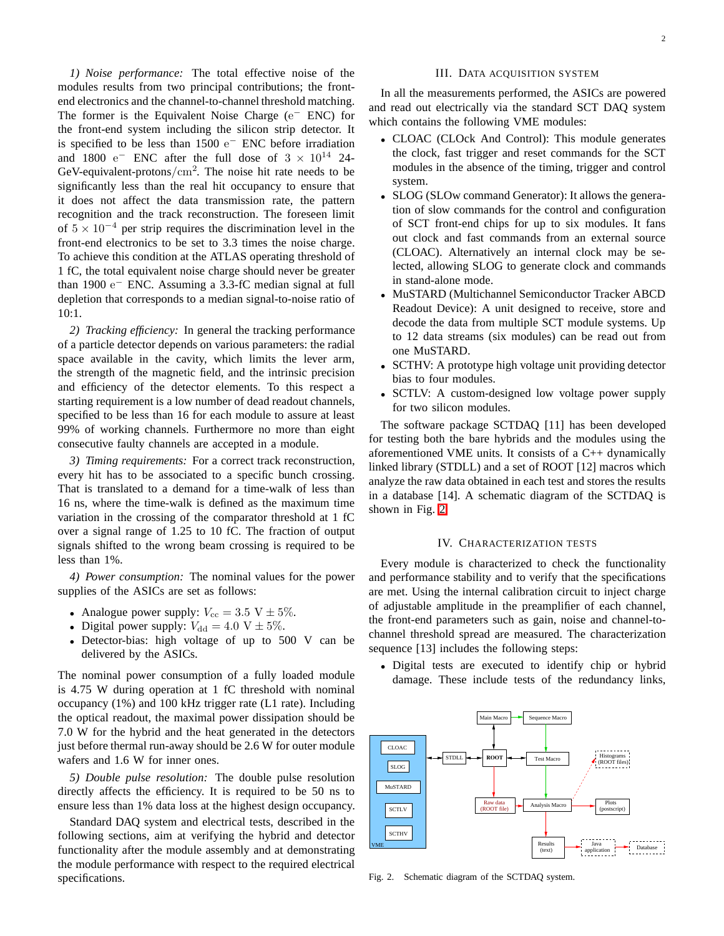*1) Noise performance:* The total effective noise of the modules results from two principal contributions; the frontend electronics and the channel-to-channel threshold matching. The former is the Equivalent Noise Charge (e<sup>−</sup> ENC) for the front-end system including the silicon strip detector. It is specified to be less than  $1500 e^-$  ENC before irradiation and 1800 e<sup>-</sup> ENC after the full dose of  $3 \times 10^{14}$  24-GeV-equivalent-protons/ $\text{cm}^2$ . The noise hit rate needs to be significantly less than the real hit occupancy to ensure that it does not affect the data transmission rate, the pattern recognition and the track reconstruction. The foreseen limit of  $5 \times 10^{-4}$  per strip requires the discrimination level in the front-end electronics to be set to 3.3 times the noise charge. To achieve this condition at the ATLAS operating threshold of 1 fC, the total equivalent noise charge should never be greater than 1900 e <sup>−</sup> ENC. Assuming a 3.3-fC median signal at full depletion that corresponds to a median signal-to-noise ratio of 10:1.

*2) Tracking efficiency:* In general the tracking performance of a particle detector depends on various parameters: the radial space available in the cavity, which limits the lever arm, the strength of the magnetic field, and the intrinsic precision and efficiency of the detector elements. To this respect a starting requirement is a low number of dead readout channels, specified to be less than 16 for each module to assure at least 99% of working channels. Furthermore no more than eight consecutive faulty channels are accepted in a module.

*3) Timing requirements:* For a correct track reconstruction, every hit has to be associated to a specific bunch crossing. That is translated to a demand for a time-walk of less than 16 ns, where the time-walk is defined as the maximum time variation in the crossing of the comparator threshold at 1 fC over a signal range of 1.25 to 10 fC. The fraction of output signals shifted to the wrong beam crossing is required to be less than 1%.

*4) Power consumption:* The nominal values for the power supplies of the ASICs are set as follows:

- Analogue power supply:  $V_{\text{cc}} = 3.5 \text{ V} \pm 5\%.$
- Digital power supply:  $V_{dd} = 4.0 \text{ V} \pm 5\%.$
- Detector-bias: high voltage of up to 500 V can be delivered by the ASICs.

The nominal power consumption of a fully loaded module is 4.75 W during operation at 1 fC threshold with nominal occupancy (1%) and 100 kHz trigger rate (L1 rate). Including the optical readout, the maximal power dissipation should be 7.0 W for the hybrid and the heat generated in the detectors just before thermal run-away should be 2.6 W for outer module wafers and 1.6 W for inner ones.

*5) Double pulse resolution:* The double pulse resolution directly affects the efficiency. It is required to be 50 ns to ensure less than 1% data loss at the highest design occupancy.

Standard DAQ system and electrical tests, described in the following sections, aim at verifying the hybrid and detector functionality after the module assembly and at demonstrating the module performance with respect to the required electrical specifications.

## III. DATA ACQUISITION SYSTEM

In all the measurements performed, the ASICs are powered and read out electrically via the standard SCT DAQ system which contains the following VME modules:

- CLOAC (CLOck And Control): This module generates the clock, fast trigger and reset commands for the SCT modules in the absence of the timing, trigger and control system.
- SLOG (SLOw command Generator): It allows the generation of slow commands for the control and configuration of SCT front-end chips for up to six modules. It fans out clock and fast commands from an external source (CLOAC). Alternatively an internal clock may be selected, allowing SLOG to generate clock and commands in stand-alone mode.
- MuSTARD (Multichannel Semiconductor Tracker ABCD Readout Device): A unit designed to receive, store and decode the data from multiple SCT module systems. Up to 12 data streams (six modules) can be read out from one MuSTARD.
- SCTHV: A prototype high voltage unit providing detector bias to four modules.
- SCTLV: A custom-designed low voltage power supply for two silicon modules.

The software package SCTDAQ [11] has been developed for testing both the bare hybrids and the modules using the aforementioned VME units. It consists of a C++ dynamically linked library (STDLL) and a set of ROOT [12] macros which analyze the raw data obtained in each test and stores the results in a database [14]. A schematic diagram of the SCTDAQ is shown in Fig. [2.](#page-1-0)

#### IV. CHARACTERIZATION TESTS

Every module is characterized to check the functionality and performance stability and to verify that the specifications are met. Using the internal calibration circuit to inject charge of adjustable amplitude in the preamplifier of each channel, the front-end parameters such as gain, noise and channel-tochannel threshold spread are measured. The characterization sequence [13] includes the following steps:

• Digital tests are executed to identify chip or hybrid damage. These include tests of the redundancy links,



<span id="page-1-0"></span>Fig. 2. Schematic diagram of the SCTDAQ system.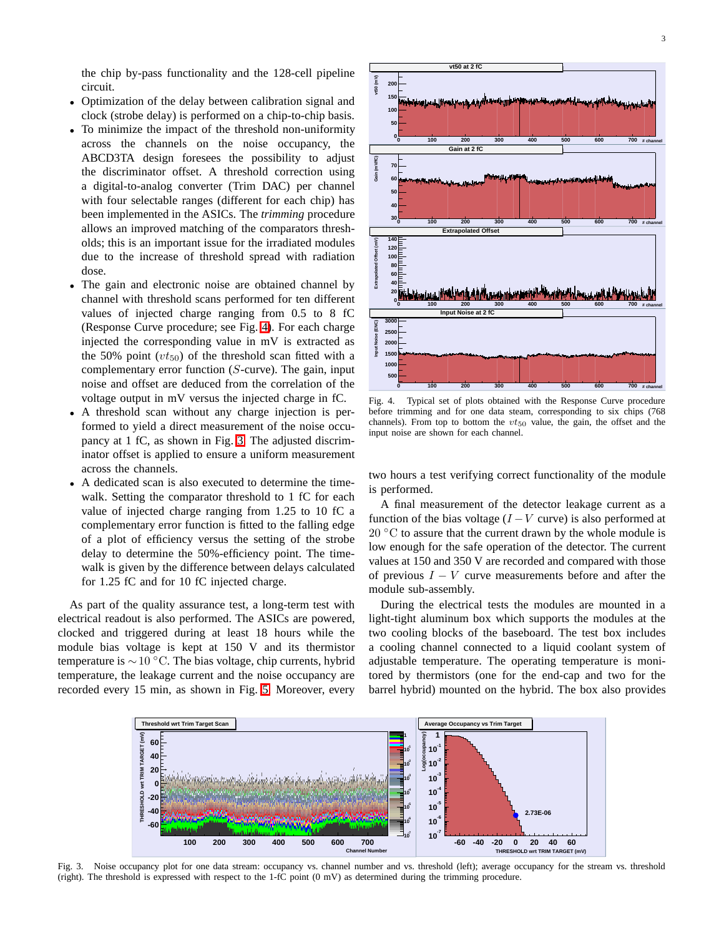the chip by-pass functionality and the 128-cell pipeline circuit.

- Optimization of the delay between calibration signal and clock (strobe delay) is performed on a chip-to-chip basis.
- To minimize the impact of the threshold non-uniformity across the channels on the noise occupancy, the ABCD3TA design foresees the possibility to adjust the discriminator offset. A threshold correction using a digital-to-analog converter (Trim DAC) per channel with four selectable ranges (different for each chip) has been implemented in the ASICs. The *trimming* procedure allows an improved matching of the comparators thresholds; this is an important issue for the irradiated modules due to the increase of threshold spread with radiation dose.
- The gain and electronic noise are obtained channel by channel with threshold scans performed for ten different values of injected charge ranging from 0.5 to 8 fC (Response Curve procedure; see Fig. [4\)](#page-2-0). For each charge injected the corresponding value in mV is extracted as the 50% point  $(vt_{50})$  of the threshold scan fitted with a complementary error function (S-curve). The gain, input noise and offset are deduced from the correlation of the voltage output in mV versus the injected charge in fC.
- A threshold scan without any charge injection is performed to yield a direct measurement of the noise occupancy at 1 fC, as shown in Fig. [3.](#page-2-1) The adjusted discriminator offset is applied to ensure a uniform measurement across the channels.
- A dedicated scan is also executed to determine the timewalk. Setting the comparator threshold to 1 fC for each value of injected charge ranging from 1.25 to 10 fC a complementary error function is fitted to the falling edge of a plot of efficiency versus the setting of the strobe delay to determine the 50%-efficiency point. The timewalk is given by the difference between delays calculated for 1.25 fC and for 10 fC injected charge.

As part of the quality assurance test, a long-term test with electrical readout is also performed. The ASICs are powered, clocked and triggered during at least 18 hours while the module bias voltage is kept at 150 V and its thermistor temperature is  $\sim$  10 °C. The bias voltage, chip currents, hybrid temperature, the leakage current and the noise occupancy are recorded every 15 min, as shown in Fig. [5.](#page-3-0) Moreover, every



<span id="page-2-0"></span>Fig. 4. Typical set of plots obtained with the Response Curve procedure before trimming and for one data steam, corresponding to six chips (768 channels). From top to bottom the  $vt_{50}$  value, the gain, the offset and the input noise are shown for each channel.

two hours a test verifying correct functionality of the module is performed.

A final measurement of the detector leakage current as a function of the bias voltage  $(I - V$  curve) is also performed at  $20 °C$  to assure that the current drawn by the whole module is low enough for the safe operation of the detector. The current values at 150 and 350 V are recorded and compared with those of previous  $I - V$  curve measurements before and after the module sub-assembly.

During the electrical tests the modules are mounted in a light-tight aluminum box which supports the modules at the two cooling blocks of the baseboard. The test box includes a cooling channel connected to a liquid coolant system of adjustable temperature. The operating temperature is monitored by thermistors (one for the end-cap and two for the barrel hybrid) mounted on the hybrid. The box also provides



<span id="page-2-1"></span>Fig. 3. Noise occupancy plot for one data stream: occupancy vs. channel number and vs. threshold (left); average occupancy for the stream vs. threshold (right). The threshold is expressed with respect to the 1-fC point (0 mV) as determined during the trimming procedure.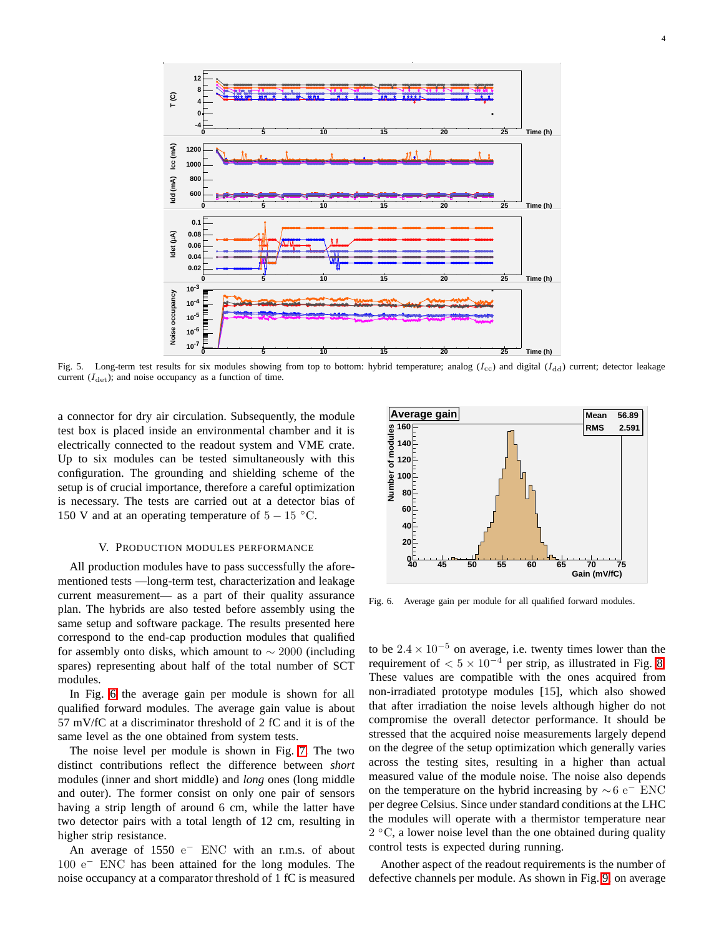

<span id="page-3-0"></span>Fig. 5. Long-term test results for six modules showing from top to bottom: hybrid temperature; analog  $(I_{\rm cc})$  and digital  $(I_{\rm dd})$  current; detector leakage current  $(I_{\text{det}})$ ; and noise occupancy as a function of time.

a connector for dry air circulation. Subsequently, the module test box is placed inside an environmental chamber and it is electrically connected to the readout system and VME crate. Up to six modules can be tested simultaneously with this configuration. The grounding and shielding scheme of the setup is of crucial importance, therefore a careful optimization is necessary. The tests are carried out at a detector bias of 150 V and at an operating temperature of  $5 - 15$  °C.

## V. PRODUCTION MODULES PERFORMANCE

All production modules have to pass successfully the aforementioned tests —long-term test, characterization and leakage current measurement— as a part of their quality assurance plan. The hybrids are also tested before assembly using the same setup and software package. The results presented here correspond to the end-cap production modules that qualified for assembly onto disks, which amount to  $\sim 2000$  (including spares) representing about half of the total number of SCT modules.

In Fig. [6](#page-3-1) the average gain per module is shown for all qualified forward modules. The average gain value is about 57 mV/fC at a discriminator threshold of 2 fC and it is of the same level as the one obtained from system tests.

The noise level per module is shown in Fig. [7.](#page-4-0) The two distinct contributions reflect the difference between *short* modules (inner and short middle) and *long* ones (long middle and outer). The former consist on only one pair of sensors having a strip length of around 6 cm, while the latter have two detector pairs with a total length of 12 cm, resulting in higher strip resistance.

An average of 1550 e<sup>-</sup> ENC with an r.m.s. of about 100 e<sup>−</sup> ENC has been attained for the long modules. The noise occupancy at a comparator threshold of 1 fC is measured



<span id="page-3-1"></span>Fig. 6. Average gain per module for all qualified forward modules.

to be  $2.4 \times 10^{-5}$  on average, i.e. twenty times lower than the requirement of  $< 5 \times 10^{-4}$  per strip, as illustrated in Fig. [8.](#page-4-1) These values are compatible with the ones acquired from non-irradiated prototype modules [15], which also showed that after irradiation the noise levels although higher do not compromise the overall detector performance. It should be stressed that the acquired noise measurements largely depend on the degree of the setup optimization which generally varies across the testing sites, resulting in a higher than actual measured value of the module noise. The noise also depends on the temperature on the hybrid increasing by  $\sim 6$  e<sup>−</sup> ENC per degree Celsius. Since under standard conditions at the LHC the modules will operate with a thermistor temperature near 2 ◦C, a lower noise level than the one obtained during quality control tests is expected during running.

Another aspect of the readout requirements is the number of defective channels per module. As shown in Fig. [9,](#page-4-2) on average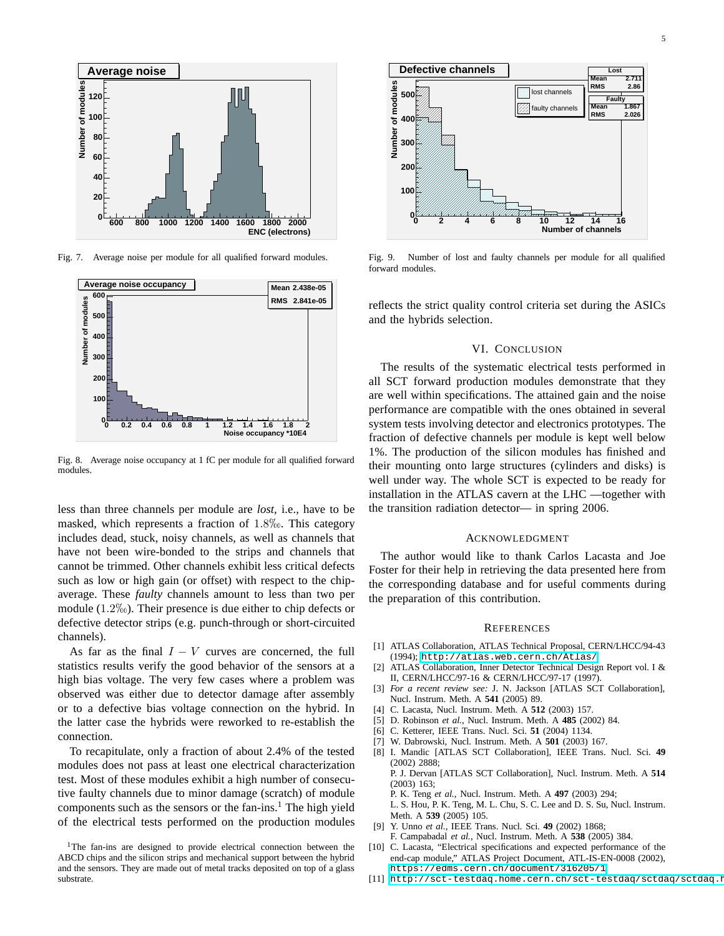

<span id="page-4-0"></span>Fig. 7. Average noise per module for all qualified forward modules.



<span id="page-4-1"></span>Fig. 8. Average noise occupancy at 1 fC per module for all qualified forward modules.

less than three channels per module are *lost*, i.e., have to be masked, which represents a fraction of  $1.8\%$ . This category includes dead, stuck, noisy channels, as well as channels that have not been wire-bonded to the strips and channels that cannot be trimmed. Other channels exhibit less critical defects such as low or high gain (or offset) with respect to the chipaverage. These *faulty* channels amount to less than two per module  $(1.2\%)$ . Their presence is due either to chip defects or defective detector strips (e.g. punch-through or short-circuited channels).

As far as the final  $I - V$  curves are concerned, the full statistics results verify the good behavior of the sensors at a high bias voltage. The very few cases where a problem was observed was either due to detector damage after assembly or to a defective bias voltage connection on the hybrid. In the latter case the hybrids were reworked to re-establish the connection.

To recapitulate, only a fraction of about 2.4% of the tested modules does not pass at least one electrical characterization test. Most of these modules exhibit a high number of consecutive faulty channels due to minor damage (scratch) of module components such as the sensors or the fan-ins.<sup>1</sup> The high yield of the electrical tests performed on the production modules



<span id="page-4-2"></span>Fig. 9. Number of lost and faulty channels per module for all qualified forward modules.

reflects the strict quality control criteria set during the ASICs and the hybrids selection.

## VI. CONCLUSION

The results of the systematic electrical tests performed in all SCT forward production modules demonstrate that they are well within specifications. The attained gain and the noise performance are compatible with the ones obtained in several system tests involving detector and electronics prototypes. The fraction of defective channels per module is kept well below 1%. The production of the silicon modules has finished and their mounting onto large structures (cylinders and disks) is well under way. The whole SCT is expected to be ready for installation in the ATLAS cavern at the LHC —together with the transition radiation detector— in spring 2006.

### ACKNOWLEDGMENT

The author would like to thank Carlos Lacasta and Joe Foster for their help in retrieving the data presented here from the corresponding database and for useful comments during the preparation of this contribution.

#### **REFERENCES**

- [1] ATLAS Collaboration, ATLAS Technical Proposal, CERN/LHCC/94-43 (1994); <http://atlas.web.cern.ch/Atlas/>
- [2] ATLAS Collaboration, Inner Detector Technical Design Report vol. I & II, CERN/LHCC/97-16 & CERN/LHCC/97-17 (1997).
- [3] *For a recent review see:* J. N. Jackson [ATLAS SCT Collaboration], Nucl. Instrum. Meth. A **541** (2005) 89.
- [4] C. Lacasta, Nucl. Instrum. Meth. A **512** (2003) 157.
- [5] D. Robinson *et al.*, Nucl. Instrum. Meth. A **485** (2002) 84.
- [6] C. Ketterer, IEEE Trans. Nucl. Sci. **51** (2004) 1134.
- [7] W. Dabrowski, Nucl. Instrum. Meth. A **501** (2003) 167.
- [8] I. Mandic [ATLAS SCT Collaboration], IEEE Trans. Nucl. Sci. **49** (2002) 2888; P. J. Dervan [ATLAS SCT Collaboration], Nucl. Instrum. Meth. A **514**
	- (2003) 163; P. K. Teng *et al.*, Nucl. Instrum. Meth. A **497** (2003) 294;

L. S. Hou, P. K. Teng, M. L. Chu, S. C. Lee and D. S. Su, Nucl. Instrum. Meth. A **539** (2005) 105.

- [9] Y. Unno *et al.*, IEEE Trans. Nucl. Sci. **49** (2002) 1868; F. Campabadal *et al.*, Nucl. Instrum. Meth. A **538** (2005) 384.
- [10] C. Lacasta, "Electrical specifications and expected performance of the end-cap module," ATLAS Project Document, ATL-IS-EN-0008 (2002), <https://edms.cern.ch/document/316205/1>
- [11] [http://sct-testdaq.home.cern.ch/sct-testdaq/sctdaq/sctdaq.h](http://sct-testdaq.home.cern.ch/sct-testdaq/sctdaq/sctdaq.html)

<sup>&</sup>lt;sup>1</sup>The fan-ins are designed to provide electrical connection between the ABCD chips and the silicon strips and mechanical support between the hybrid and the sensors. They are made out of metal tracks deposited on top of a glass substrate.